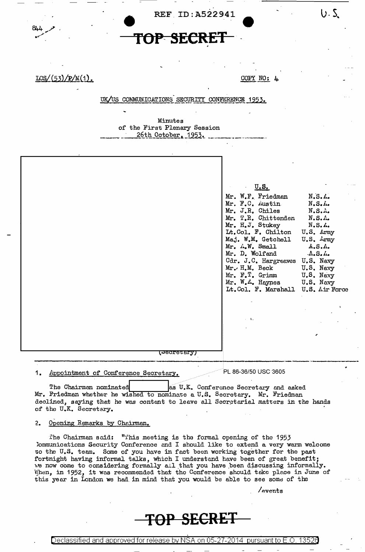

 $LCS/(53)/P/M(1)$ .

COPY NO: 4

 $U.5$ 

UK/US COMMUNICATIONS SECURITY CONFERENCE 1953.

Minutes of the First Plenary Session 26th October, 1953.

|  | (Pecretary) | U.S.<br>Mr. W.F. Friedman<br>Mr. F.C. Austin<br>Mr. J.R. Chiles<br>Mr. T.R. Chittenden<br>Mr. H.J. Stukey<br>Lt. Col. F. Chilton U.S. Army<br>Maj. W.M. Getchell U.S. Army<br>$Mr.$ $\ldots$ W. Small<br>Mr. D. Wolfand<br>Cdr. J.C. Hargreaves U.S. Navy<br>$Mr.$ H.M. Beck<br>Mr. F. T. Grimm<br>Mr. W.A. Haynes U.S. Navy<br>Lt. Col. F. Marshall U.S. Air Force<br>$\sim$ $\sim$ | N, S, L,<br>N.S.H.<br>$N.S.$ A.<br>N.S.A.<br>N.S. A.<br>A.S.A.<br>$\Lambda_\bullet S_\bullet \Lambda_\bullet$<br>U.S. Navy<br>U.S. Navy |
|--|-------------|--------------------------------------------------------------------------------------------------------------------------------------------------------------------------------------------------------------------------------------------------------------------------------------------------------------------------------------------------------------------------------------|-----------------------------------------------------------------------------------------------------------------------------------------|
|--|-------------|--------------------------------------------------------------------------------------------------------------------------------------------------------------------------------------------------------------------------------------------------------------------------------------------------------------------------------------------------------------------------------------|-----------------------------------------------------------------------------------------------------------------------------------------|

The Chairman nominated bas U.K. Conference Secretary and asked Mr. Friedman whether he wished to nominate a U.S. Secretary. Mr. Friedman declined, saying that he was content to leave all Secretarial matters in the hands of the U.K. Secretary.

 $2.$ Opening Remarks by Chairman.

The Chairman said: "This meeting is the formal opening of the 1953 Communications Security Conference and I should like to extend a very warm welcome to the U.S. team. Some of you have in fact been working together for the past fortnight having informal talks, which I understand have been of great benefit; we now come to considering formally all that you have been discussing informally. When, in 1952, it was recommended that the Conference should take place in June of this year in London we had in mind that you would be able to see some of the

/events

## TOP SECRET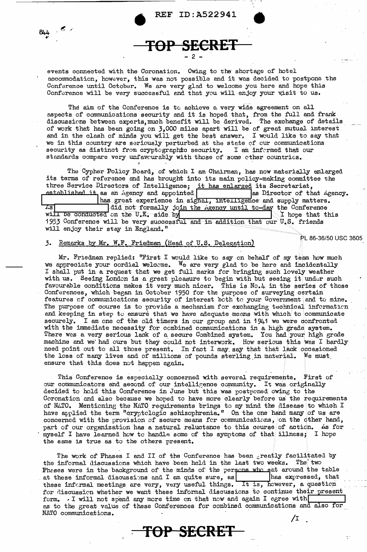events connected with the Coronation. Owing to the shortage of hotel accommodation, however, this was not possible and it was decided to postpone the Conference until October. We are very glad to welcome you here and hope this Conference will be very successful and that you will enjoy your visit to us.

TOP SECRET

The aim of the Conference is to achieve a very wide agreement on all aspects of communications security and it is hoped that, from the full and frank discussions between experts, much benefit will be derived. The exchange of details of work that has been going on 3,000 miles apart will be of great mutual interest and in the clash of minds you will get the best answer. I would like to say that we in this country are seriously perturbed at the state of our communications security as distinct from cryptographic security. I am informed that our standards compare very unfavourably with those of some other countries.

The Cypher Policy Board, of which I am Chairman, has now materially enlarged its terms of reference and has brought into its main policy-making committee the three Service Directors of Intelligence; it has enlarged its Secretariat, established it as an Agency and appointed as Director of that Agency. has great experience in signal, intelligence and supply matters. Is all out formally join the Agency until to-day the Conference will be conducted on the U.K. side by I hope that this 1953 Conference will be very successful and in addition that our U.S. friends will enjoy their stay in England." PL 86-36/50 USC 3605

## 3. Remarks by Mr. W.F. Friedman (Head of U.S. Delegation)

Mr. Friedman replied: "First I would like to say on behalf of my team how much we appreciate your cordial welcome. We are very glad to be here and incidentally I shall put in a request that we get full marks for bringing such lovely weather with us. Seeing London is a great pleasure to begin with but seeing it under such favourable conditions makes it very much nicer. This is No.4 in the series of these Conferences, which began in October 1950 for the purpose of surveying certain features of communications security of interest both to your Government and to mine. The purpose of course is to provide a mechanism for exchanging technical information and keeping in step to ensure that we have adequate means with which to communicate securely. I am one of the old timers in our group and in 1941 we were confronted with the immediate necessity for combined communications in a high grade system.<br>There was a very serious lack of a secure Combined system. You had your high grade machine and we had ours but they could not interwork. How need point out to all those present. In fact I may say that that lack occasioned the loss of many lives and of millions of pounds sterling in material. We must ensure that this does not happen again.

This Conference is especially concerned with several requirements. First of our communicators and second of our intelligence community. It was originally decided to hold this Conference in June but this was postponed owing to the Coronation and also because we hoped to have more clearly before us the requirements of NATO. Mentioning the NATO requirements brings to my mind the disease to which I have applied the term "cryptclogic schizophrenia." On the one hand many of us are concerned with the provision of secure means for communications, on the other hand, part of our organization has a natural reluctance to this course of action. As for myself I have learned how to handle some of the symptoms of that illness; I hope the same is true as to the others present.

The work of Phases I and II of the Conference has been greatly facilitated by the informal discussions which have been held in the last two weeks. The two Pheses were in the background of the minds of the persons who sat around the table at these informal discussions and I am quite sure, as has expressed, that these informal meetings are very, very useful things. It is, however, a question has expressed, that for discussion whether we want these informal discussions to continue their present form. I will not spend any more time on that now and again I agree with as to the great value of these Conferences for combined communications and also for NATO communications. /I

-TOP SECRET

 $844 - 5$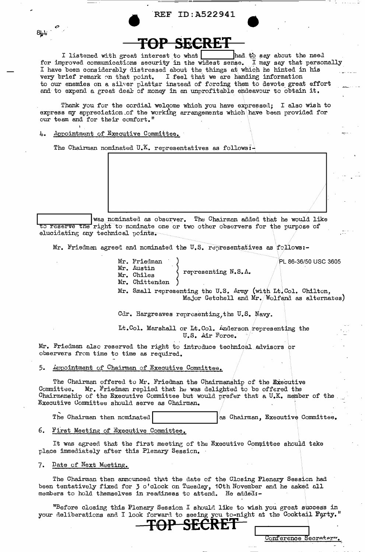## **REF ID:A522941**

I listened with great interest to what head to say about the need<br>for improved communications security in the widest sense. I may say that personally<br>I have been considerably distressed about the things at which he hinted very brief remark on that point. I feel that we are handing information to our enemies on a silver platter instead of forcing them to devote great effort and to expend a great deal of money in an unprofitable endeavour to obtain it.

Thank you for the cordial welcome which you have expressed; I also wish to express my appreciation of the working arrangements which have been provided for our team and for their comfort."

Appointment of Executive Committee. 4.

 $84 +$ 

The Chairman nominated U.K. representatives as follows  $\overline{I}$ 

was nominated as observer. The Chairman added that he would like to reserve the right to neminate one or two other observers for the purpose of elucidating any technical points.

Mr. Friedman agreed and nominated the U.S. representatives as follows:-

Mr. Friedman Mr. Austin Mr. Chiles Mr. Chittenden

Mr. Small representing the U.S. Army (with Lt. Col. Chilton,<br>Major Getchell and Mr. Wolfand as alternates)

Cdr. Hargreaves representing, the U.S. Navy.

Lt.Col. Marshall or Lt.Col. Anderson representing the U.S. Air Force.

representing N.S.A.

Mr. Friedman also reserved the right to introduce technical advisors or observers from time to time as required.

Appointment of Chairman of Executive Committee. 5.

The Chairman offered to Mr. Friedman the Chairmanship of the Executive Committee. Mr. Friedman replied that he was delighted to be offered the Chairmanship of the Executive Committee but would prefer that a U.K. member of the Executive Committee should serve as Chairman.

The Chairman then nominated as Chairman, Executive Committee.

6. First Meeting of Executive Committee.

It was agreed that the first meeting of the Executive Committee should take place immediately after this Plenary Session.

Date of Next Meeting.  $7.$ 

The Chairman then announced that the date of the Closing Plenary Session had been tentatively fixed for 3 o'clock on Tuesday, 10th November and he asked all members to hold themselves in readiness to attend. He added:-

"Before closing this Plenary Session I should like to wish you great success in your deliberations and I look forward to seeing you to-night at the Cocktail Party."

**SECRET** 

PL 86-36/50 USC 3605